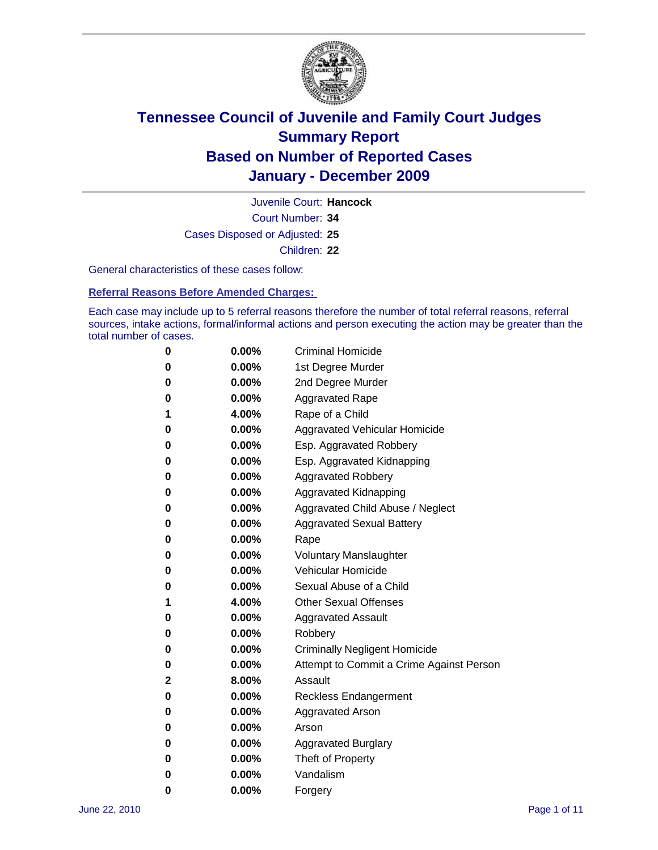

Court Number: **34** Juvenile Court: **Hancock** Cases Disposed or Adjusted: **25** Children: **22**

General characteristics of these cases follow:

**Referral Reasons Before Amended Charges:** 

Each case may include up to 5 referral reasons therefore the number of total referral reasons, referral sources, intake actions, formal/informal actions and person executing the action may be greater than the total number of cases.

| 0 | $0.00\%$ | <b>Criminal Homicide</b>                 |
|---|----------|------------------------------------------|
| 0 | $0.00\%$ | 1st Degree Murder                        |
| 0 | $0.00\%$ | 2nd Degree Murder                        |
| 0 | $0.00\%$ | <b>Aggravated Rape</b>                   |
| 1 | 4.00%    | Rape of a Child                          |
| 0 | $0.00\%$ | Aggravated Vehicular Homicide            |
| 0 | $0.00\%$ | Esp. Aggravated Robbery                  |
| 0 | $0.00\%$ | Esp. Aggravated Kidnapping               |
| 0 | $0.00\%$ | <b>Aggravated Robbery</b>                |
| 0 | $0.00\%$ | Aggravated Kidnapping                    |
| 0 | 0.00%    | Aggravated Child Abuse / Neglect         |
| 0 | 0.00%    | <b>Aggravated Sexual Battery</b>         |
| 0 | $0.00\%$ | Rape                                     |
| 0 | $0.00\%$ | <b>Voluntary Manslaughter</b>            |
| 0 | $0.00\%$ | Vehicular Homicide                       |
| 0 | $0.00\%$ | Sexual Abuse of a Child                  |
| 1 | 4.00%    | <b>Other Sexual Offenses</b>             |
| 0 | $0.00\%$ | <b>Aggravated Assault</b>                |
| 0 | 0.00%    | Robbery                                  |
| 0 | $0.00\%$ | <b>Criminally Negligent Homicide</b>     |
| 0 | $0.00\%$ | Attempt to Commit a Crime Against Person |
| 2 | 8.00%    | Assault                                  |
| 0 | $0.00\%$ | <b>Reckless Endangerment</b>             |
| 0 | $0.00\%$ | <b>Aggravated Arson</b>                  |
| 0 | $0.00\%$ | Arson                                    |
| 0 | $0.00\%$ | <b>Aggravated Burglary</b>               |
| 0 | $0.00\%$ | Theft of Property                        |
| 0 | 0.00%    | Vandalism                                |
| 0 | 0.00%    | Forgery                                  |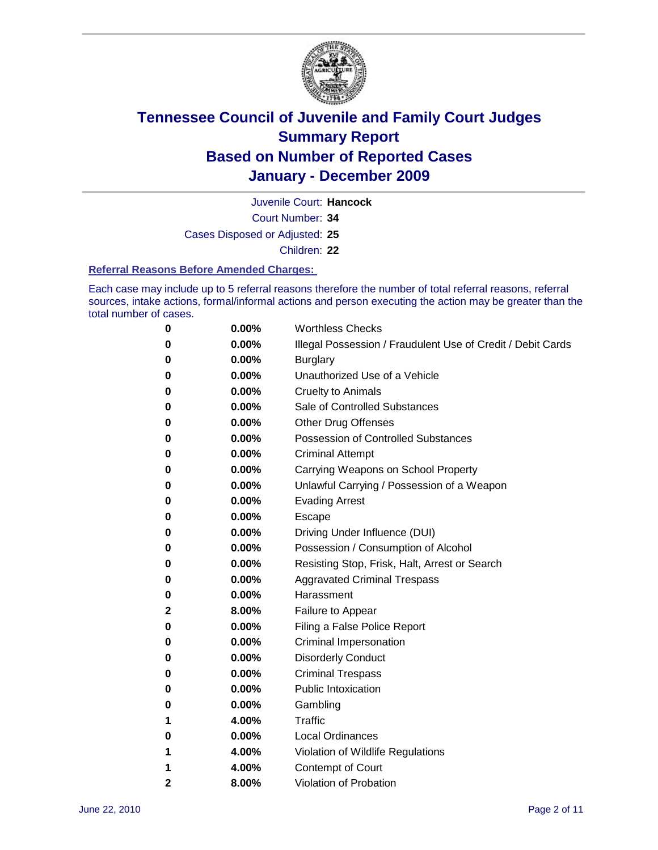

Juvenile Court: **Hancock**

Court Number: **34**

Cases Disposed or Adjusted: **25**

Children: **22**

#### **Referral Reasons Before Amended Charges:**

Each case may include up to 5 referral reasons therefore the number of total referral reasons, referral sources, intake actions, formal/informal actions and person executing the action may be greater than the total number of cases.

| 0            | 0.00%    | <b>Worthless Checks</b>                                     |
|--------------|----------|-------------------------------------------------------------|
| 0            | 0.00%    | Illegal Possession / Fraudulent Use of Credit / Debit Cards |
| 0            | 0.00%    | <b>Burglary</b>                                             |
| 0            | 0.00%    | Unauthorized Use of a Vehicle                               |
| 0            | $0.00\%$ | <b>Cruelty to Animals</b>                                   |
| 0            | 0.00%    | Sale of Controlled Substances                               |
| 0            | $0.00\%$ | <b>Other Drug Offenses</b>                                  |
| 0            | 0.00%    | <b>Possession of Controlled Substances</b>                  |
| 0            | $0.00\%$ | <b>Criminal Attempt</b>                                     |
| 0            | 0.00%    | Carrying Weapons on School Property                         |
| 0            | 0.00%    | Unlawful Carrying / Possession of a Weapon                  |
| 0            | $0.00\%$ | <b>Evading Arrest</b>                                       |
| 0            | $0.00\%$ | Escape                                                      |
| 0            | 0.00%    | Driving Under Influence (DUI)                               |
| 0            | $0.00\%$ | Possession / Consumption of Alcohol                         |
| 0            | $0.00\%$ | Resisting Stop, Frisk, Halt, Arrest or Search               |
| 0            | $0.00\%$ | <b>Aggravated Criminal Trespass</b>                         |
| 0            | $0.00\%$ | Harassment                                                  |
| $\mathbf 2$  | 8.00%    | Failure to Appear                                           |
| 0            | $0.00\%$ | Filing a False Police Report                                |
| 0            | 0.00%    | Criminal Impersonation                                      |
| 0            | $0.00\%$ | <b>Disorderly Conduct</b>                                   |
| 0            | 0.00%    | <b>Criminal Trespass</b>                                    |
| 0            | 0.00%    | <b>Public Intoxication</b>                                  |
| 0            | $0.00\%$ | Gambling                                                    |
| 1            | 4.00%    | Traffic                                                     |
| 0            | $0.00\%$ | <b>Local Ordinances</b>                                     |
| 1            | 4.00%    | Violation of Wildlife Regulations                           |
| 1            | 4.00%    | Contempt of Court                                           |
| $\mathbf{2}$ | 8.00%    | Violation of Probation                                      |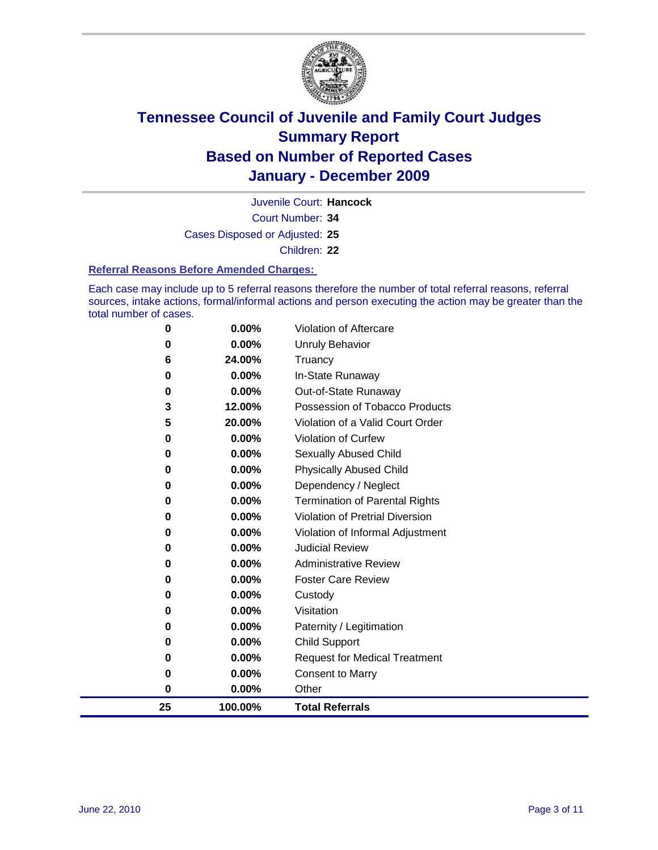

Court Number: **34** Juvenile Court: **Hancock** Cases Disposed or Adjusted: **25**

Children: **22**

#### **Referral Reasons Before Amended Charges:**

Each case may include up to 5 referral reasons therefore the number of total referral reasons, referral sources, intake actions, formal/informal actions and person executing the action may be greater than the total number of cases.

| 25       | 100.00%         | <b>Total Referrals</b>                                 |
|----------|-----------------|--------------------------------------------------------|
| $\bf{0}$ | 0.00%           | Other                                                  |
| 0        | 0.00%           | <b>Consent to Marry</b>                                |
| 0        | 0.00%           | <b>Request for Medical Treatment</b>                   |
| 0        | 0.00%           | <b>Child Support</b>                                   |
| 0        | 0.00%           | Paternity / Legitimation                               |
| 0        | 0.00%           | Visitation                                             |
| 0        | 0.00%           | Custody                                                |
| 0        | 0.00%           | <b>Foster Care Review</b>                              |
| 0        | 0.00%           | <b>Administrative Review</b>                           |
| 0        | 0.00%           | <b>Judicial Review</b>                                 |
| 0        | 0.00%           | Violation of Informal Adjustment                       |
| 0        | 0.00%           | <b>Violation of Pretrial Diversion</b>                 |
| 0        | 0.00%           | <b>Termination of Parental Rights</b>                  |
| 0        | 0.00%           | Dependency / Neglect                                   |
| $\bf{0}$ | 0.00%           | <b>Physically Abused Child</b>                         |
| 0        | 0.00%           | Sexually Abused Child                                  |
| 0        | 0.00%           | Violation of Curfew                                    |
| 5        | 20.00%          | Violation of a Valid Court Order                       |
| 0<br>3   | 0.00%<br>12.00% | Out-of-State Runaway<br>Possession of Tobacco Products |
| 0        | 0.00%           | In-State Runaway                                       |
| 6        | 24.00%          | Truancy                                                |
| 0        | 0.00%           | <b>Unruly Behavior</b>                                 |
| 0        | 0.00%           | <b>Violation of Aftercare</b>                          |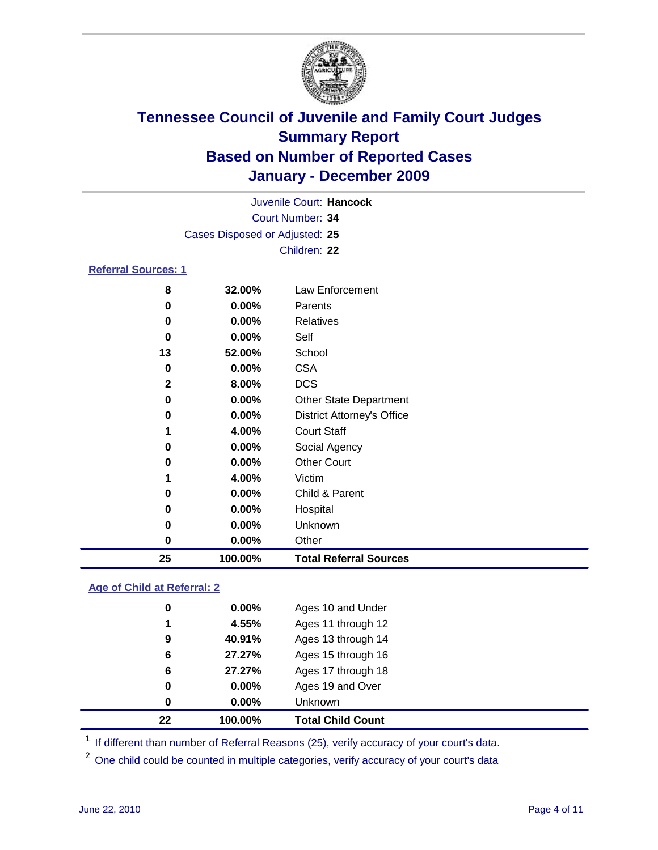

| Juvenile Court: Hancock        |                         |                                   |  |  |  |  |
|--------------------------------|-------------------------|-----------------------------------|--|--|--|--|
|                                | <b>Court Number: 34</b> |                                   |  |  |  |  |
| Cases Disposed or Adjusted: 25 |                         |                                   |  |  |  |  |
|                                | Children: 22            |                                   |  |  |  |  |
| <b>Referral Sources: 1</b>     |                         |                                   |  |  |  |  |
| 8                              | 32.00%                  | Law Enforcement                   |  |  |  |  |
| 0                              | 0.00%                   | Parents                           |  |  |  |  |
| 0                              | 0.00%                   | <b>Relatives</b>                  |  |  |  |  |
| 0                              | 0.00%                   | Self                              |  |  |  |  |
| 13                             | 52.00%                  | School                            |  |  |  |  |
| 0                              | 0.00%                   | <b>CSA</b>                        |  |  |  |  |
| 2                              | 8.00%                   | <b>DCS</b>                        |  |  |  |  |
| 0                              | 0.00%                   | <b>Other State Department</b>     |  |  |  |  |
| 0                              | 0.00%                   | <b>District Attorney's Office</b> |  |  |  |  |
| 1                              | 4.00%                   | <b>Court Staff</b>                |  |  |  |  |
| 0                              | 0.00%                   | Social Agency                     |  |  |  |  |
| 0                              | 0.00%                   | <b>Other Court</b>                |  |  |  |  |
| 1                              | 4.00%                   | Victim                            |  |  |  |  |
| 0                              | 0.00%                   | Child & Parent                    |  |  |  |  |
| 0                              | 0.00%                   | Hospital                          |  |  |  |  |
| 0                              | 0.00%                   | Unknown                           |  |  |  |  |
| 0                              | 0.00%                   | Other                             |  |  |  |  |
| 25                             | 100.00%                 | <b>Total Referral Sources</b>     |  |  |  |  |

### **Age of Child at Referral: 2**

| 22 | 100.00%  | <b>Total Child Count</b> |
|----|----------|--------------------------|
| 0  | 0.00%    | Unknown                  |
| 0  | $0.00\%$ | Ages 19 and Over         |
| 6  | 27.27%   | Ages 17 through 18       |
| 6  | 27.27%   | Ages 15 through 16       |
| 9  | 40.91%   | Ages 13 through 14       |
| 1  | 4.55%    | Ages 11 through 12       |
| 0  | 0.00%    | Ages 10 and Under        |

<sup>1</sup> If different than number of Referral Reasons (25), verify accuracy of your court's data.

One child could be counted in multiple categories, verify accuracy of your court's data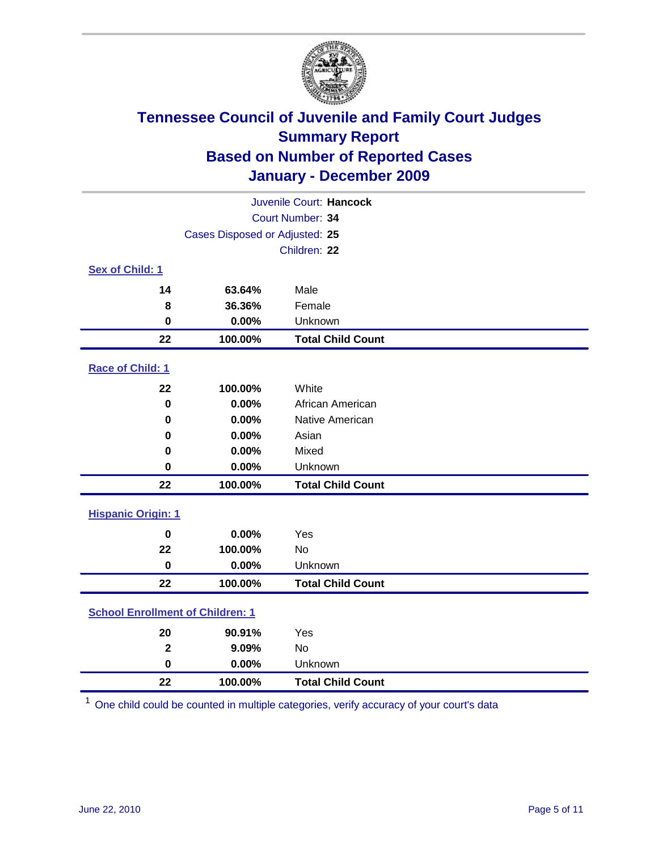

| Juvenile Court: Hancock                 |                                |                          |  |  |  |
|-----------------------------------------|--------------------------------|--------------------------|--|--|--|
| Court Number: 34                        |                                |                          |  |  |  |
|                                         | Cases Disposed or Adjusted: 25 |                          |  |  |  |
|                                         |                                | Children: 22             |  |  |  |
| Sex of Child: 1                         |                                |                          |  |  |  |
| 14                                      | 63.64%                         | Male                     |  |  |  |
| 8                                       | 36.36%                         | Female                   |  |  |  |
| $\mathbf 0$                             | 0.00%                          | Unknown                  |  |  |  |
| 22                                      | 100.00%                        | <b>Total Child Count</b> |  |  |  |
| Race of Child: 1                        |                                |                          |  |  |  |
| 22                                      | 100.00%                        | White                    |  |  |  |
| $\pmb{0}$                               | 0.00%                          | African American         |  |  |  |
| 0                                       | 0.00%                          | Native American          |  |  |  |
| 0                                       | 0.00%                          | Asian                    |  |  |  |
| 0                                       | 0.00%                          | Mixed                    |  |  |  |
| 0                                       | 0.00%                          | Unknown                  |  |  |  |
| 22                                      | 100.00%                        | <b>Total Child Count</b> |  |  |  |
| <b>Hispanic Origin: 1</b>               |                                |                          |  |  |  |
| $\mathbf 0$                             | 0.00%                          | Yes                      |  |  |  |
| 22                                      | 100.00%                        | <b>No</b>                |  |  |  |
| $\mathbf 0$                             | 0.00%                          | Unknown                  |  |  |  |
| 22                                      | 100.00%                        | <b>Total Child Count</b> |  |  |  |
| <b>School Enrollment of Children: 1</b> |                                |                          |  |  |  |
| 20                                      | 90.91%                         | Yes                      |  |  |  |
| $\overline{\mathbf{2}}$                 | 9.09%                          | <b>No</b>                |  |  |  |
| $\mathbf 0$                             | 0.00%                          | Unknown                  |  |  |  |
| 22                                      | 100.00%                        | <b>Total Child Count</b> |  |  |  |

One child could be counted in multiple categories, verify accuracy of your court's data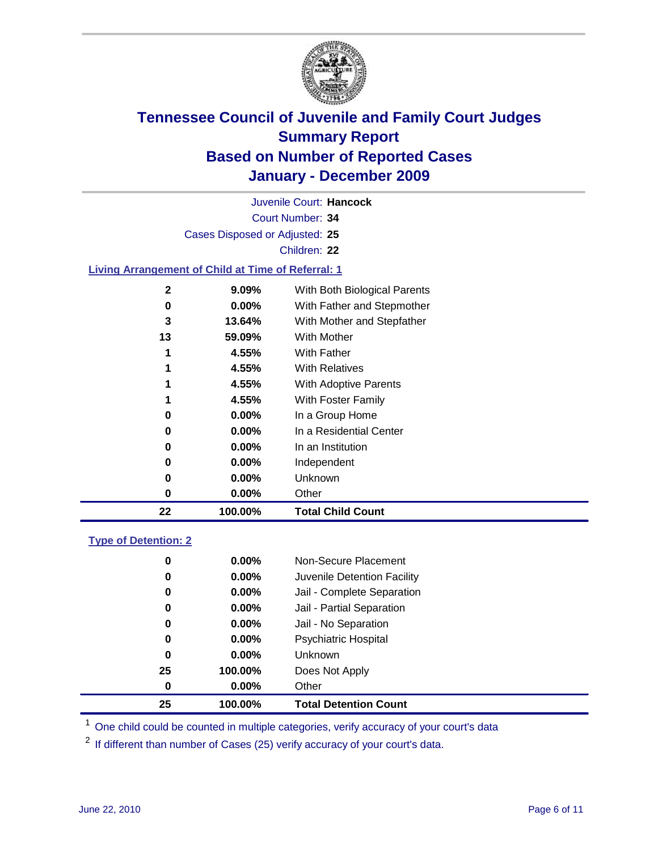

Court Number: **34** Juvenile Court: **Hancock** Cases Disposed or Adjusted: **25** Children: **22 Living Arrangement of Child at Time of Referral: 1 9.09%** With Both Biological Parents **0.00%** With Father and Stepmother **13.64%** With Mother and Stepfather **59.09%** With Mother **4.55%** With Father **4.55%** With Relatives

| 22 | 100.00%  | <b>Total Child Count</b> |
|----|----------|--------------------------|
| 0  | $0.00\%$ | Other                    |
| 0  | $0.00\%$ | Unknown                  |
| 0  | $0.00\%$ | Independent              |
| 0  | $0.00\%$ | In an Institution        |
| 0  | $0.00\%$ | In a Residential Center  |
| 0  | $0.00\%$ | In a Group Home          |
| 1  | 4.55%    | With Foster Family       |
| 1  | 4.55%    | With Adoptive Parents    |
| 1  | 4.55%    | <b>With Relatives</b>    |
| 1  | 4.55%    | <b>With Father</b>       |
|    |          |                          |

### **Type of Detention: 2**

| 25 | 100.00%  | <b>Total Detention Count</b> |
|----|----------|------------------------------|
| 0  | 0.00%    | Other                        |
| 25 | 100.00%  | Does Not Apply               |
| 0  | 0.00%    | <b>Unknown</b>               |
| 0  | 0.00%    | <b>Psychiatric Hospital</b>  |
| 0  | 0.00%    | Jail - No Separation         |
| 0  | $0.00\%$ | Jail - Partial Separation    |
| 0  | 0.00%    | Jail - Complete Separation   |
| 0  | 0.00%    | Juvenile Detention Facility  |
| 0  | $0.00\%$ | Non-Secure Placement         |
|    |          |                              |

<sup>1</sup> One child could be counted in multiple categories, verify accuracy of your court's data

<sup>2</sup> If different than number of Cases (25) verify accuracy of your court's data.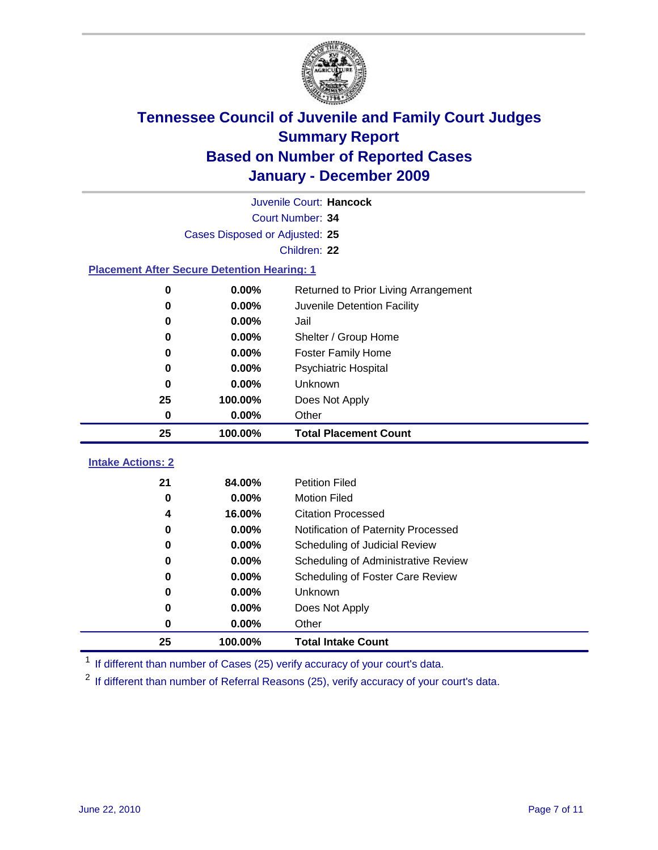

|                                                    | Juvenile Court: Hancock        |                                      |  |  |  |
|----------------------------------------------------|--------------------------------|--------------------------------------|--|--|--|
|                                                    | Court Number: 34               |                                      |  |  |  |
|                                                    | Cases Disposed or Adjusted: 25 |                                      |  |  |  |
|                                                    |                                | Children: 22                         |  |  |  |
| <b>Placement After Secure Detention Hearing: 1</b> |                                |                                      |  |  |  |
| 0                                                  | 0.00%                          | Returned to Prior Living Arrangement |  |  |  |
| $\bf{0}$                                           | 0.00%                          | Juvenile Detention Facility          |  |  |  |
| 0                                                  | 0.00%                          | Jail                                 |  |  |  |
| 0                                                  | 0.00%                          | Shelter / Group Home                 |  |  |  |
| 0                                                  | 0.00%                          | <b>Foster Family Home</b>            |  |  |  |
| $\bf{0}$                                           | 0.00%                          | Psychiatric Hospital                 |  |  |  |
| 0                                                  | 0.00%                          | Unknown                              |  |  |  |
| 25                                                 | 100.00%                        | Does Not Apply                       |  |  |  |
| $\mathbf 0$                                        | 0.00%                          | Other                                |  |  |  |
| 25                                                 | 100.00%                        | <b>Total Placement Count</b>         |  |  |  |
|                                                    |                                |                                      |  |  |  |
| <b>Intake Actions: 2</b>                           |                                |                                      |  |  |  |
| 21                                                 | 84.00%                         | <b>Petition Filed</b>                |  |  |  |
| $\mathbf 0$                                        | 0.00%                          | <b>Motion Filed</b>                  |  |  |  |
| 4                                                  | 16.00%                         | <b>Citation Processed</b>            |  |  |  |
| 0                                                  | 0.00%                          | Notification of Paternity Processed  |  |  |  |
| $\mathbf 0$                                        | 0.00%                          | Scheduling of Judicial Review        |  |  |  |
| $\bf{0}$                                           | 0.00%                          | Scheduling of Administrative Review  |  |  |  |
| 0                                                  | 0.00%                          | Scheduling of Foster Care Review     |  |  |  |
| 0                                                  | 0.00%                          | Unknown                              |  |  |  |
| 0                                                  | 0.00%                          | Does Not Apply                       |  |  |  |
| 0                                                  | 0.00%                          | Other                                |  |  |  |

<sup>1</sup> If different than number of Cases (25) verify accuracy of your court's data.

<sup>2</sup> If different than number of Referral Reasons (25), verify accuracy of your court's data.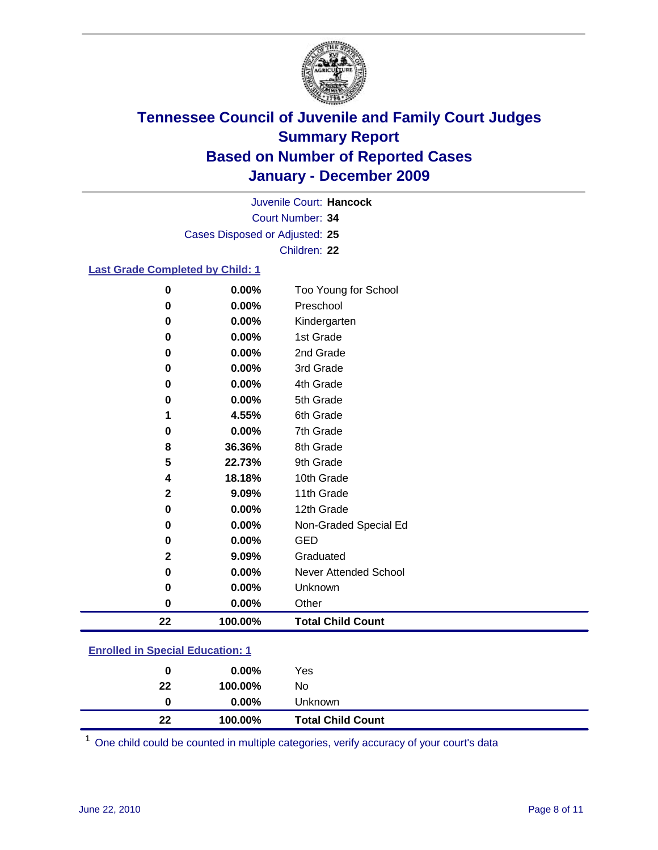

Court Number: **34** Juvenile Court: **Hancock** Cases Disposed or Adjusted: **25** Children: **22**

#### **Last Grade Completed by Child: 1**

| 22 | 100.00%  | <b>Total Child Count</b>     |
|----|----------|------------------------------|
| 0  | 0.00%    | Other                        |
| 0  | 0.00%    | Unknown                      |
| 0  | 0.00%    | <b>Never Attended School</b> |
| 2  | 9.09%    | Graduated                    |
| 0  | 0.00%    | <b>GED</b>                   |
| 0  | 0.00%    | Non-Graded Special Ed        |
| 0  | 0.00%    | 12th Grade                   |
| 2  | 9.09%    | 11th Grade                   |
| 4  | 18.18%   | 10th Grade                   |
| 5  | 22.73%   | 9th Grade                    |
| 8  | 36.36%   | 8th Grade                    |
| 0  | $0.00\%$ | 7th Grade                    |
| 1  | 4.55%    | 6th Grade                    |
| 0  | 0.00%    | 5th Grade                    |
| 0  | $0.00\%$ | 4th Grade                    |
| 0  | $0.00\%$ | 3rd Grade                    |
| 0  | $0.00\%$ | 2nd Grade                    |
| 0  | 0.00%    | 1st Grade                    |
| 0  | 0.00%    | Kindergarten                 |
| 0  | 0.00%    | Preschool                    |
| 0  | 0.00%    | Too Young for School         |

### **Enrolled in Special Education: 1**

| 0  | $0.00\%$ | Yes                      |
|----|----------|--------------------------|
| 22 | 100.00%  | No                       |
|    | $0.00\%$ | <b>Unknown</b>           |
| 22 | 100.00%  | <b>Total Child Count</b> |

One child could be counted in multiple categories, verify accuracy of your court's data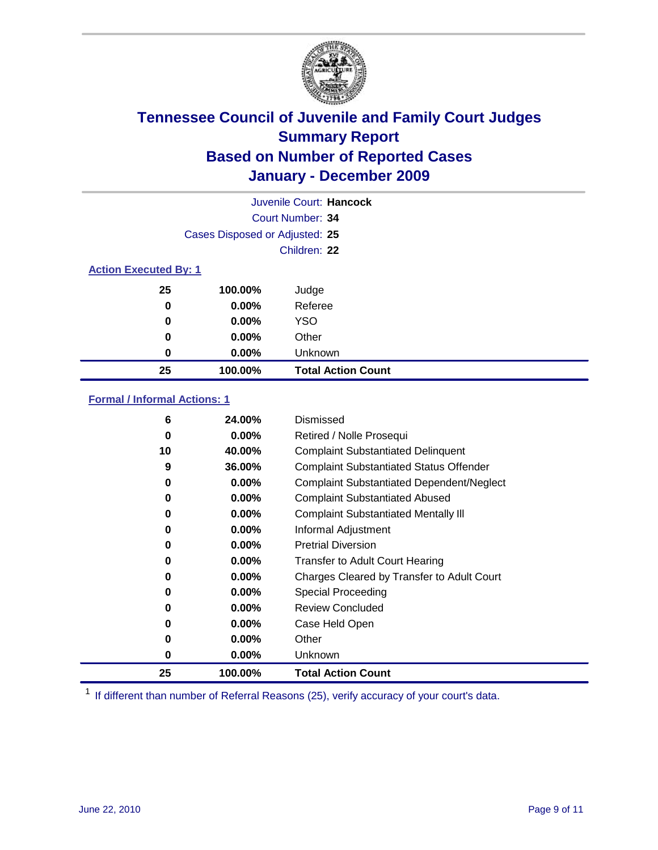

| Juvenile Court: Hancock      |                                |                           |  |  |  |
|------------------------------|--------------------------------|---------------------------|--|--|--|
|                              | Court Number: 34               |                           |  |  |  |
|                              | Cases Disposed or Adjusted: 25 |                           |  |  |  |
|                              |                                | Children: 22              |  |  |  |
| <b>Action Executed By: 1</b> |                                |                           |  |  |  |
| 25                           | 100.00%                        | Judge                     |  |  |  |
| 0                            | $0.00\%$                       | Referee                   |  |  |  |
| 0                            | $0.00\%$                       | <b>YSO</b>                |  |  |  |
| 0                            | 0.00%                          | Other                     |  |  |  |
| 0                            | 0.00%                          | Unknown                   |  |  |  |
| 25                           | 100.00%                        | <b>Total Action Count</b> |  |  |  |

### **Formal / Informal Actions: 1**

| 6  | 24.00%   | Dismissed                                        |
|----|----------|--------------------------------------------------|
| 0  | $0.00\%$ | Retired / Nolle Prosequi                         |
| 10 | 40.00%   | <b>Complaint Substantiated Delinquent</b>        |
| 9  | 36.00%   | <b>Complaint Substantiated Status Offender</b>   |
| 0  | 0.00%    | <b>Complaint Substantiated Dependent/Neglect</b> |
| 0  | 0.00%    | <b>Complaint Substantiated Abused</b>            |
| 0  | $0.00\%$ | <b>Complaint Substantiated Mentally III</b>      |
| 0  | $0.00\%$ | Informal Adjustment                              |
| 0  | $0.00\%$ | <b>Pretrial Diversion</b>                        |
| 0  | 0.00%    | <b>Transfer to Adult Court Hearing</b>           |
| 0  | 0.00%    | Charges Cleared by Transfer to Adult Court       |
| 0  | $0.00\%$ | Special Proceeding                               |
| 0  | $0.00\%$ | <b>Review Concluded</b>                          |
| 0  | $0.00\%$ | Case Held Open                                   |
| 0  | $0.00\%$ | Other                                            |
| 0  | $0.00\%$ | Unknown                                          |
| 25 | 100.00%  | <b>Total Action Count</b>                        |

<sup>1</sup> If different than number of Referral Reasons (25), verify accuracy of your court's data.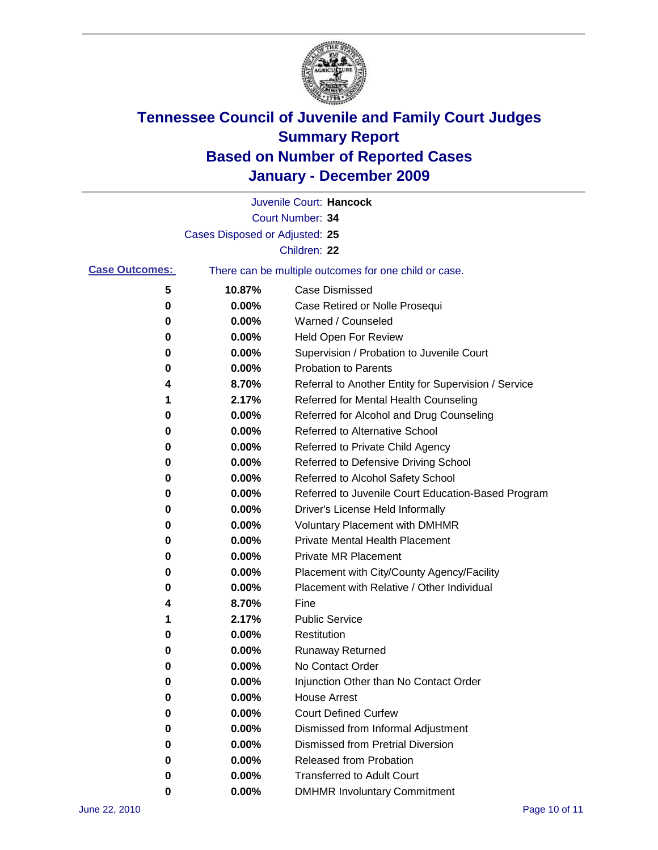

|                       |                                | Juvenile Court: Hancock                               |
|-----------------------|--------------------------------|-------------------------------------------------------|
|                       |                                | Court Number: 34                                      |
|                       | Cases Disposed or Adjusted: 25 |                                                       |
|                       |                                | Children: 22                                          |
| <b>Case Outcomes:</b> |                                | There can be multiple outcomes for one child or case. |
| 5                     | 10.87%                         | <b>Case Dismissed</b>                                 |
| 0                     | 0.00%                          | Case Retired or Nolle Prosequi                        |
| 0                     | 0.00%                          | Warned / Counseled                                    |
| 0                     | 0.00%                          | Held Open For Review                                  |
| 0                     | 0.00%                          | Supervision / Probation to Juvenile Court             |
| 0                     | 0.00%                          | <b>Probation to Parents</b>                           |
| 4                     | 8.70%                          | Referral to Another Entity for Supervision / Service  |
| 1                     | 2.17%                          | Referred for Mental Health Counseling                 |
| 0                     | 0.00%                          | Referred for Alcohol and Drug Counseling              |
| 0                     | 0.00%                          | Referred to Alternative School                        |
| 0                     | 0.00%                          | Referred to Private Child Agency                      |
| 0                     | 0.00%                          | Referred to Defensive Driving School                  |
| 0                     | 0.00%                          | Referred to Alcohol Safety School                     |
| 0                     | 0.00%                          | Referred to Juvenile Court Education-Based Program    |
| 0                     | 0.00%                          | Driver's License Held Informally                      |
| 0                     | 0.00%                          | <b>Voluntary Placement with DMHMR</b>                 |
| 0                     | 0.00%                          | Private Mental Health Placement                       |
| 0                     | 0.00%                          | <b>Private MR Placement</b>                           |
| 0                     | 0.00%                          | Placement with City/County Agency/Facility            |
| 0                     | 0.00%                          | Placement with Relative / Other Individual            |
| 4                     | 8.70%                          | Fine                                                  |
| 1                     | 2.17%                          | <b>Public Service</b>                                 |
| 0                     | 0.00%                          | Restitution                                           |
| 0                     | 0.00%                          | <b>Runaway Returned</b>                               |
| 0                     | 0.00%                          | No Contact Order                                      |
| 0                     | 0.00%                          | Injunction Other than No Contact Order                |
| 0                     | 0.00%                          | <b>House Arrest</b>                                   |
| 0                     | $0.00\%$                       | <b>Court Defined Curfew</b>                           |
| 0                     | $0.00\%$                       | Dismissed from Informal Adjustment                    |
| 0                     | $0.00\%$                       | <b>Dismissed from Pretrial Diversion</b>              |
| 0                     | 0.00%                          | <b>Released from Probation</b>                        |
| 0                     | $0.00\%$                       | <b>Transferred to Adult Court</b>                     |
| 0                     | 0.00%                          | <b>DMHMR Involuntary Commitment</b>                   |